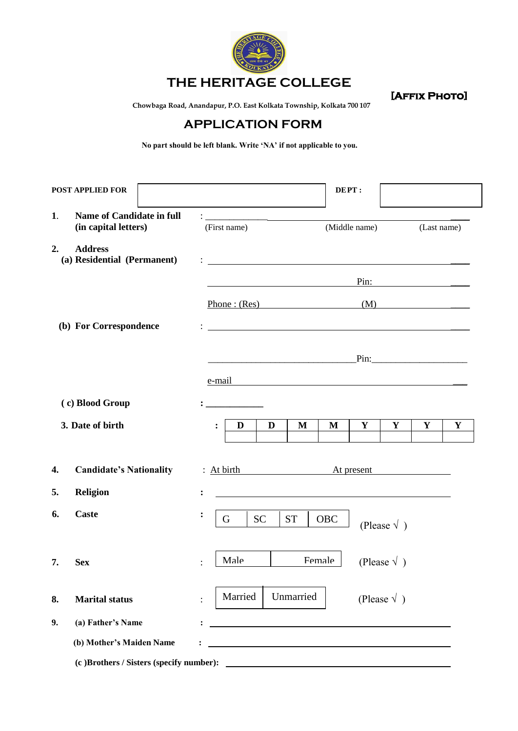

# **THE HERITAGE COLLEGE**

 **[Affix Photo]** 

 **Chowbaga Road, Anandapur, P.O. East Kolkata Township, Kolkata 700 107**

## **APPLICATION FORM**

 **No part should be left blank. Write 'NA' if not applicable to you.** 

|    | <b>POST APPLIED FOR</b>                                  |                                                                                                                                                                                                                                          |           |                                                                                                                      | DEPT:      |               |                      |                                                                                                                                                                                                                                |   |
|----|----------------------------------------------------------|------------------------------------------------------------------------------------------------------------------------------------------------------------------------------------------------------------------------------------------|-----------|----------------------------------------------------------------------------------------------------------------------|------------|---------------|----------------------|--------------------------------------------------------------------------------------------------------------------------------------------------------------------------------------------------------------------------------|---|
| 1. | <b>Name of Candidate in full</b><br>(in capital letters) | <u> 1989 - Andrea Andrew Maria (b. 1989)</u><br>(First name)                                                                                                                                                                             |           |                                                                                                                      |            | (Middle name) |                      | (Last name)                                                                                                                                                                                                                    |   |
| 2. | <b>Address</b><br>(a) Residential (Permanent)            | $\mathbf{1}_{\mathbf{2}}$ . The contract of the contract of the contract of the contract of the contract of the contract of the contract of the contract of the contract of the contract of the contract of the contract of the contract |           |                                                                                                                      |            |               |                      |                                                                                                                                                                                                                                |   |
|    |                                                          |                                                                                                                                                                                                                                          |           |                                                                                                                      |            |               |                      | Pin: The contract of the contract of the contract of the contract of the contract of the contract of the contract of the contract of the contract of the contract of the contract of the contract of the contract of the contr |   |
|    |                                                          | Phone: (Res)                                                                                                                                                                                                                             |           |                                                                                                                      |            |               |                      | (M)                                                                                                                                                                                                                            |   |
|    | (b) For Correspondence                                   |                                                                                                                                                                                                                                          |           |                                                                                                                      |            |               |                      |                                                                                                                                                                                                                                |   |
|    |                                                          |                                                                                                                                                                                                                                          |           |                                                                                                                      |            |               |                      |                                                                                                                                                                                                                                |   |
|    |                                                          | e-mail                                                                                                                                                                                                                                   |           |                                                                                                                      |            |               |                      |                                                                                                                                                                                                                                |   |
|    | (c) Blood Group                                          |                                                                                                                                                                                                                                          |           |                                                                                                                      |            |               |                      |                                                                                                                                                                                                                                |   |
|    | 3. Date of birth                                         | D                                                                                                                                                                                                                                        | D         | M                                                                                                                    | M          | Y             | Y                    | Y                                                                                                                                                                                                                              | Y |
| 4. | <b>Candidate's Nationality</b>                           | : At birth                                                                                                                                                                                                                               |           |                                                                                                                      |            | At present    |                      |                                                                                                                                                                                                                                |   |
| 5. | <b>Religion</b>                                          |                                                                                                                                                                                                                                          |           |                                                                                                                      |            |               |                      |                                                                                                                                                                                                                                |   |
| 6. | <b>Caste</b>                                             | $\ddot{\cdot}$<br>G                                                                                                                                                                                                                      | <b>SC</b> | <b>ST</b>                                                                                                            | <b>OBC</b> |               | (Please $\sqrt{ }$ ) |                                                                                                                                                                                                                                |   |
| 7. | <b>Sex</b>                                               | Male<br>$\ddot{\cdot}$                                                                                                                                                                                                                   |           |                                                                                                                      | Female     |               | (Please $\sqrt{ }$ ) |                                                                                                                                                                                                                                |   |
| 8. | <b>Marital status</b>                                    | Married                                                                                                                                                                                                                                  |           | Unmarried                                                                                                            |            |               | (Please $\sqrt{ }$ ) |                                                                                                                                                                                                                                |   |
| 9. | (a) Father's Name                                        | :                                                                                                                                                                                                                                        |           |                                                                                                                      |            |               |                      |                                                                                                                                                                                                                                |   |
|    | (b) Mother's Maiden Name                                 |                                                                                                                                                                                                                                          |           | <u> 1989 - Johann Barn, amerikan besteman besteman besteman besteman besteman besteman besteman besteman bestema</u> |            |               |                      |                                                                                                                                                                                                                                |   |
|    |                                                          |                                                                                                                                                                                                                                          |           |                                                                                                                      |            |               |                      |                                                                                                                                                                                                                                |   |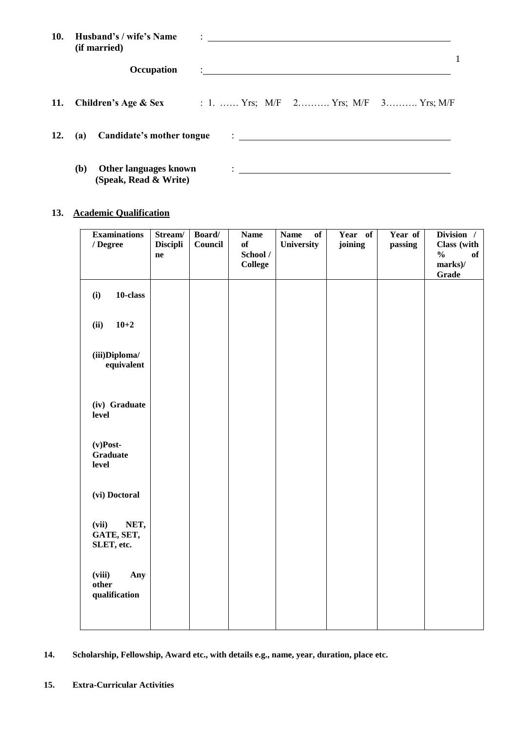| 10. | Husband's / wife's Name<br>(if married)               | $\ddot{\cdot}$ . The contract of the contract of the contract of the contract of the contract of the contract of the contract of the contract of the contract of the contract of the contract of the contract of the contract of th |  |
|-----|-------------------------------------------------------|-------------------------------------------------------------------------------------------------------------------------------------------------------------------------------------------------------------------------------------|--|
|     | Occupation                                            | <u>: ________________________________</u>                                                                                                                                                                                           |  |
| 11. |                                                       | <b>Children's Age &amp; Sex</b> : 1.  Yrs; $M/F$ 2 Yrs; $M/F$ 3 Yrs; $M/F$                                                                                                                                                          |  |
| 12. |                                                       |                                                                                                                                                                                                                                     |  |
|     | Other languages known<br>(b)<br>(Speak, Read & Write) | $\ddotsc$ . The contract of the contract of the contract of the contract of the contract of the contract of the contract of the contract of the contract of the contract of the contract of the contract of the contract of the     |  |

### **13. Academic Qualification**

| <b>Examinations</b><br>/ Degree           | Stream/<br><b>Discipli</b><br>ne | Board/<br>Council | <b>Name</b><br>of<br>School /<br><b>College</b> | <b>Name</b><br>of<br>University | Year of<br>joining | Year of<br>passing | Division /<br>Class (with<br>$\frac{0}{0}$<br>of<br>marks)/<br><b>Grade</b> |
|-------------------------------------------|----------------------------------|-------------------|-------------------------------------------------|---------------------------------|--------------------|--------------------|-----------------------------------------------------------------------------|
| 10-class<br>(i)                           |                                  |                   |                                                 |                                 |                    |                    |                                                                             |
| $10 + 2$<br>(ii)                          |                                  |                   |                                                 |                                 |                    |                    |                                                                             |
| (iii)Diploma/<br>equivalent               |                                  |                   |                                                 |                                 |                    |                    |                                                                             |
| (iv) Graduate<br>level                    |                                  |                   |                                                 |                                 |                    |                    |                                                                             |
| $(v)$ Post-<br><b>Graduate</b><br>level   |                                  |                   |                                                 |                                 |                    |                    |                                                                             |
| (vi) Doctoral                             |                                  |                   |                                                 |                                 |                    |                    |                                                                             |
| NET,<br>(vii)<br>GATE, SET,<br>SLET, etc. |                                  |                   |                                                 |                                 |                    |                    |                                                                             |
| (viii)<br>Any<br>other<br>qualification   |                                  |                   |                                                 |                                 |                    |                    |                                                                             |
|                                           |                                  |                   |                                                 |                                 |                    |                    |                                                                             |

**14. Scholarship, Fellowship, Award etc., with details e.g., name, year, duration, place etc.**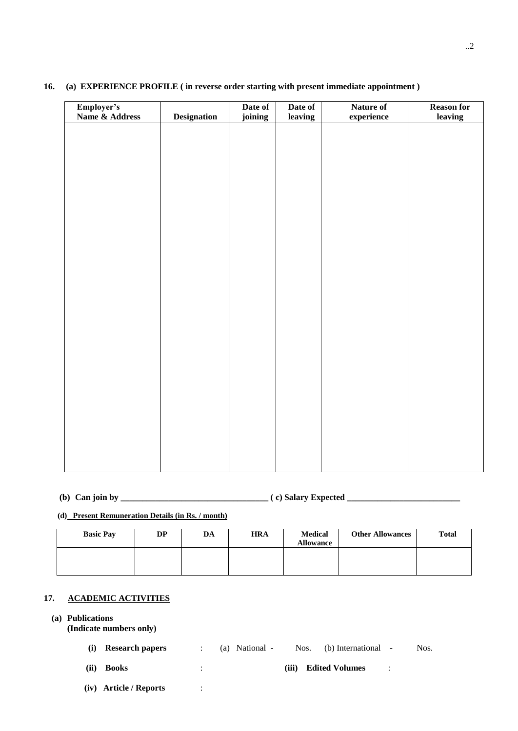| Employer's<br>Name & Address |                    | Date of | Date of | Nature of  | Reason for |
|------------------------------|--------------------|---------|---------|------------|------------|
|                              | <b>Designation</b> | joining | leaving | experience | leaving    |
|                              |                    |         |         |            |            |
|                              |                    |         |         |            |            |
|                              |                    |         |         |            |            |
|                              |                    |         |         |            |            |
|                              |                    |         |         |            |            |
|                              |                    |         |         |            |            |
|                              |                    |         |         |            |            |
|                              |                    |         |         |            |            |
|                              |                    |         |         |            |            |
|                              |                    |         |         |            |            |
|                              |                    |         |         |            |            |
|                              |                    |         |         |            |            |
|                              |                    |         |         |            |            |
|                              |                    |         |         |            |            |
|                              |                    |         |         |            |            |
|                              |                    |         |         |            |            |
|                              |                    |         |         |            |            |
|                              |                    |         |         |            |            |
|                              |                    |         |         |            |            |
|                              |                    |         |         |            |            |
|                              |                    |         |         |            |            |
|                              |                    |         |         |            |            |
|                              |                    |         |         |            |            |
|                              |                    |         |         |            |            |
|                              |                    |         |         |            |            |
|                              |                    |         |         |            |            |

#### **16. (a) EXPERIENCE PROFILE ( in reverse order starting with present immediate appointment )**

**(b) Can join by \_\_\_\_\_\_\_\_\_\_\_\_\_\_\_\_\_\_\_\_\_\_\_\_\_\_\_\_\_\_\_\_\_\_ ( c) Salary Expected \_\_\_\_\_\_\_\_\_\_\_\_\_\_\_\_\_\_\_\_\_\_\_\_\_\_** 

#### **(d) Present Remuneration Details (in Rs. / month)**

| <b>Basic Pay</b> | <b>DP</b> | DA | <b>HRA</b> | <b>Medical</b><br><b>Allowance</b> | <b>Other Allowances</b> | <b>Total</b> |
|------------------|-----------|----|------------|------------------------------------|-------------------------|--------------|
|                  |           |    |            |                                    |                         |              |

### **17. ACADEMIC ACTIVITIES**

#### **(a) Publications**

**(Indicate numbers only)**

| (i) Research papers |  | (a) National - | Nos. (b) International - | Nos. |
|---------------------|--|----------------|--------------------------|------|
|                     |  |                |                          |      |

- **(ii) Books** : **(iii) Edited Volumes** :
- **(iv) Article / Reports** :